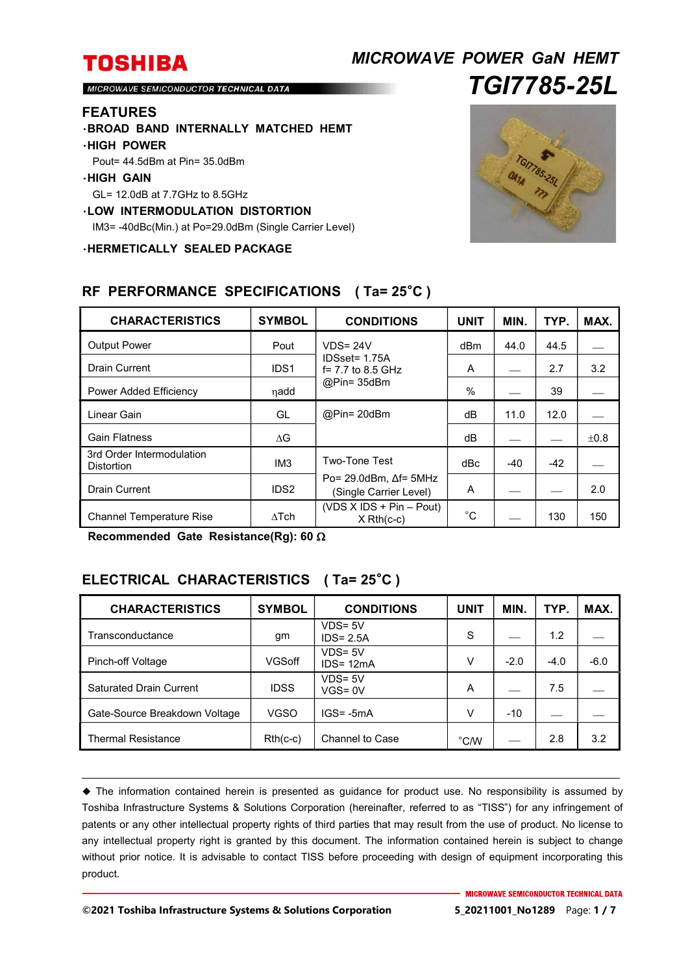## *MICROWAVE POWER GaN HEMT TGI7785-25L*

MICROWAVE SEMICONDUCTOR TECHNICAL DATA

### **FEATURES**

・**BROAD BAND INTERNALLY MATCHED HEMT**

### ・**HIGH POWER**

Pout= 44.5dBm at Pin= 35.0dBm

#### ・**HIGH GAIN**

GL= 12.0dB at 7.7GHz to 8.5GHz

#### ・**LOW INTERMODULATION DISTORTION**

IM3= -40dBc(Min.) at Po=29.0dBm (Single Carrier Level)

・**HERMETICALLY SEALED PACKAGE**



| <b>CHARACTERISTICS</b>                         | <b>SYMBOL</b>    | <b>CONDITIONS</b>                                           | <b>UNIT</b> | MIN.  | TYP.  | MAX.      |
|------------------------------------------------|------------------|-------------------------------------------------------------|-------------|-------|-------|-----------|
| <b>Output Power</b>                            | Pout             | $VDS = 24V$                                                 | dBm         | 44.0  | 44.5  |           |
| <b>Drain Current</b>                           | IDS <sub>1</sub> | IDSset= 1.75A<br>$f = 7.7$ to 8.5 GHz<br>$@Pin=35dBm$       | A           |       | 2.7   | 3.2       |
| Power Added Efficiency                         | ηadd             |                                                             | %           |       | 39    |           |
| Linear Gain                                    | GL               | @Pin= 20dBm                                                 | dВ          | 11.0  | 12.0  |           |
| <b>Gain Flatness</b>                           | ΔG               |                                                             | dB          |       |       | $\pm 0.8$ |
| 3rd Order Intermodulation<br><b>Distortion</b> | IM <sub>3</sub>  | <b>Two-Tone Test</b>                                        | dBc         | $-40$ | $-42$ |           |
| <b>Drain Current</b>                           | IDS <sub>2</sub> | Po= $29.0$ dBm, $\Delta f$ = 5MHz<br>(Single Carrier Level) | A           |       |       | 2.0       |
| <b>Channel Temperature Rise</b>                | $\wedge$ Tch     | $(VDS X IDs + Pin - Pout)$<br>$X$ Rth(c-c)                  | $^{\circ}C$ |       | 130   | 150       |

### **RF PERFORMANCE SPECIFICATIONS ( Ta= 25**°**C )**

**Recommended Gate Resistance(Rg): 60** 

## **ELECTRICAL CHARACTERISTICS ( Ta= 25**°**C )**

| <b>CHARACTERISTICS</b>         | <b>SYMBOL</b> | <b>CONDITIONS</b>          | <b>UNIT</b>    | MIN.   | TYP.   | MAX.   |
|--------------------------------|---------------|----------------------------|----------------|--------|--------|--------|
| Transconductance               | gm            | $VDS = 5V$<br>$IDS = 2.5A$ | S              |        | 1.2    |        |
| Pinch-off Voltage              | <b>VGSoff</b> | $VDS = 5V$<br>$IDS = 12mA$ | V              | $-2.0$ | $-4.0$ | $-6.0$ |
| <b>Saturated Drain Current</b> | <b>IDSS</b>   | $VDS = 5V$<br>$VGS = 0V$   | A              |        | 7.5    |        |
| Gate-Source Breakdown Voltage  | VGSO          | $IGS = -5mA$               | v              | $-10$  |        |        |
| <b>Thermal Resistance</b>      | $Rth(c-c)$    | Channel to Case            | $^{\circ}$ C/W |        | 2.8    | 3.2    |

 The information contained herein is presented as guidance for product use. No responsibility is assumed by Toshiba Infrastructure Systems & Solutions Corporation (hereinafter, referred to as "TISS") for any infringement of patents or any other intellectual property rights of third parties that may result from the use of product. No license to any intellectual property right is granted by this document. The information contained herein is subject to change without prior notice. It is advisable to contact TISS before proceeding with design of equipment incorporating this product.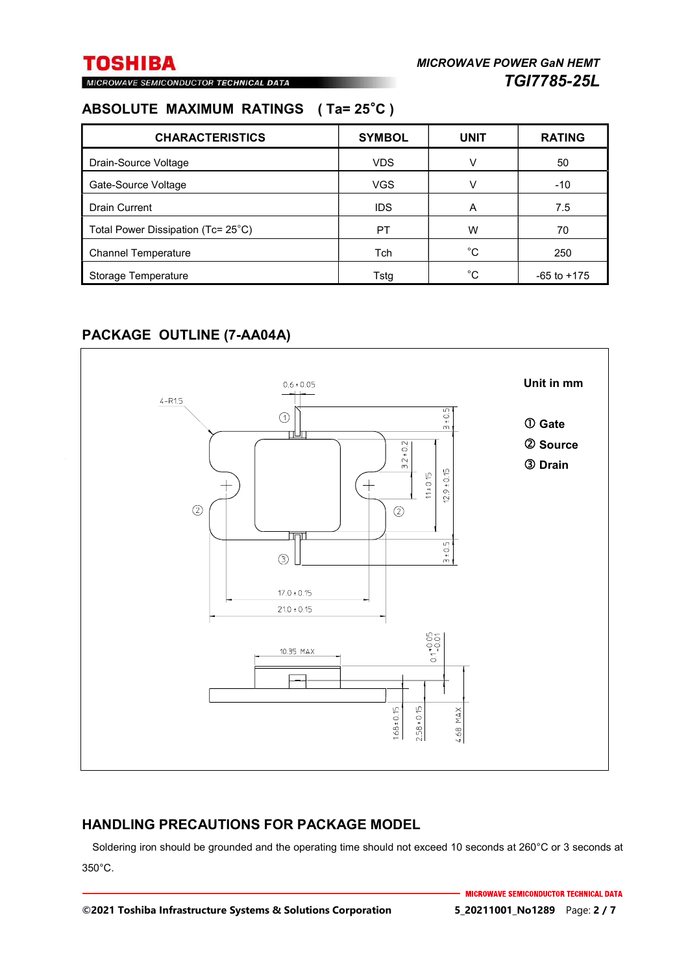MICROWAVE SEMICONDUCTOR TECHNICAL DATA

## **ABSOLUTE MAXIMUM RATINGS ( Ta= 25**°**C )**

| <b>CHARACTERISTICS</b>             | <b>SYMBOL</b> | <b>UNIT</b>  | <b>RATING</b>   |
|------------------------------------|---------------|--------------|-----------------|
| Drain-Source Voltage               | <b>VDS</b>    | v            | 50              |
| Gate-Source Voltage                | <b>VGS</b>    | V            | $-10$           |
| <b>Drain Current</b>               | <b>IDS</b>    | A            | 7.5             |
| Total Power Dissipation (Tc= 25°C) | PT            | W            | 70              |
| <b>Channel Temperature</b>         | <b>Tch</b>    | $^{\circ}$ C | 250             |
| Storage Temperature                | Tstg          | °C           | $-65$ to $+175$ |

## **PACKAGE OUTLINE (7-AA04A)**



## **HANDLING PRECAUTIONS FOR PACKAGE MODEL**

Soldering iron should be grounded and the operating time should not exceed 10 seconds at 260°C or 3 seconds at 350°C.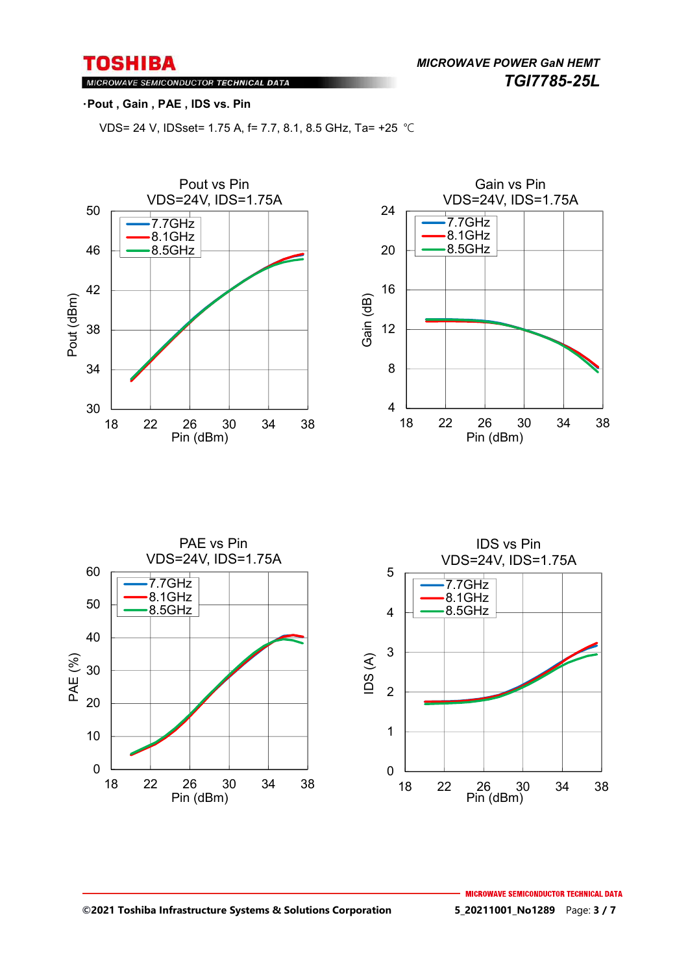*MICROWAVE POWER GaN HEMT TGI7785-25L* 

## MICROWAVE SEMICONDUCTOR TECHNICAL DATA

### ・**Pout , Gain , PAE , IDS vs. Pin**

VDS= 24 V, IDSset= 1.75 A, f= 7.7, 8.1, 8.5 GHz, Ta= +25 ℃





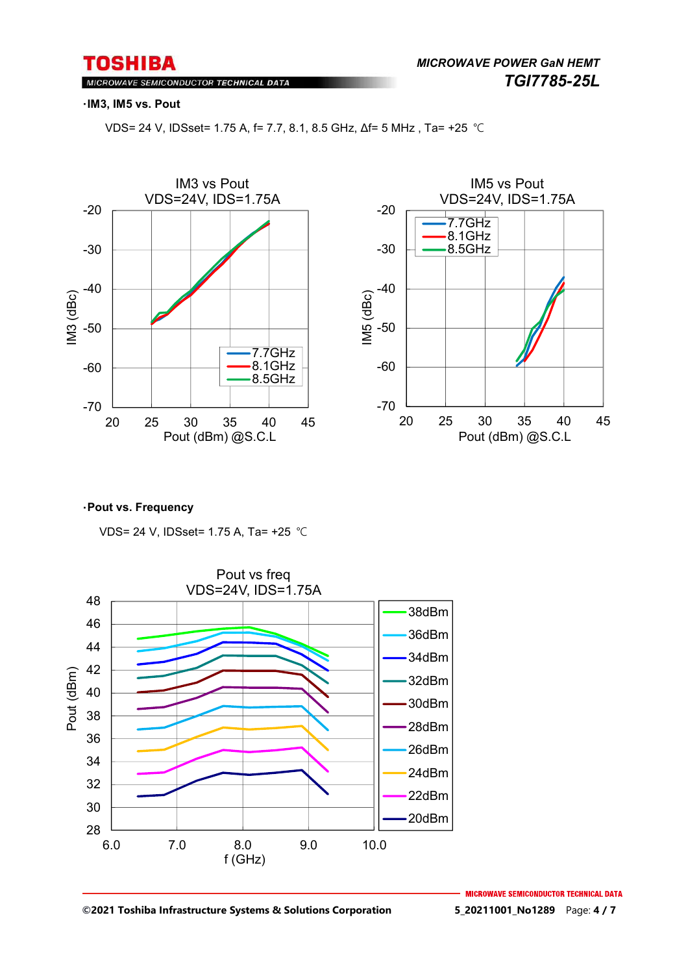MICROWAVE SEMICONDUCTOR TECHNICAL DATA

#### ・**IM3, IM5 vs. Pout**

VDS= 24 V, IDSset= 1.75 A, f= 7.7, 8.1, 8.5 GHz, Δf= 5 MHz , Ta= +25 ℃





#### ・**Pout vs. Frequency**

VDS= 24 V, IDSset= 1.75 A, Ta= +25 ℃



**©2021 Toshiba Infrastructure Systems & Solutions Corporation 5\_20211001\_No1289** Page: **4 / 7**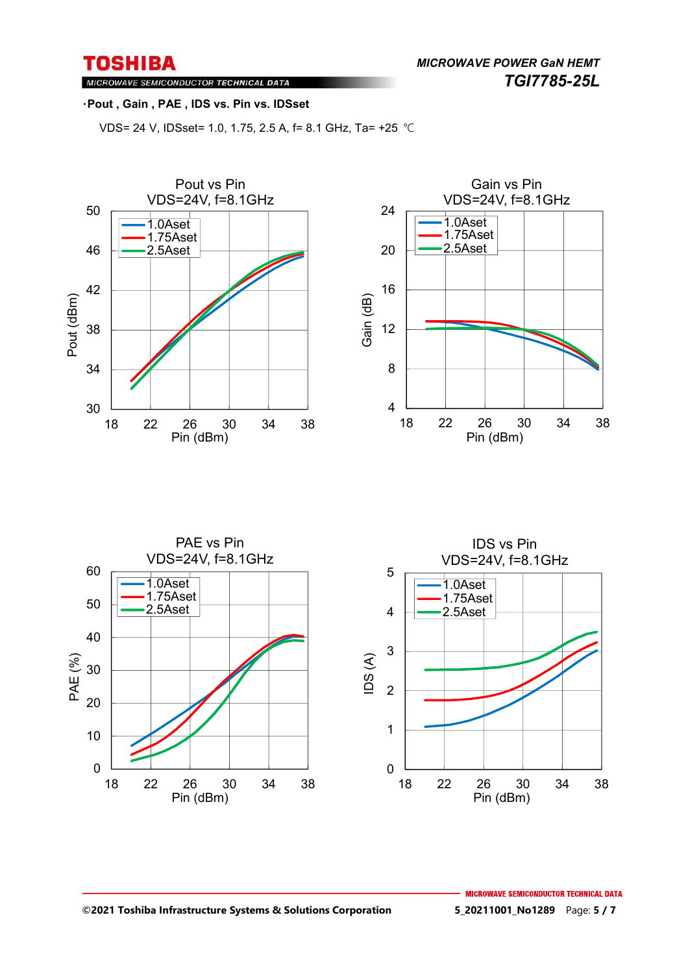*MICROWAVE POWER GaN HEMT TGI7785-25L* 

MICROWAVE SEMICONDUCTOR TECHNICAL DATA

### ・**Pout , Gain , PAE , IDS vs. Pin vs. IDSset**

VDS= 24 V, IDSset= 1.0, 1.75, 2.5 A, f= 8.1 GHz, Ta= +25 ℃





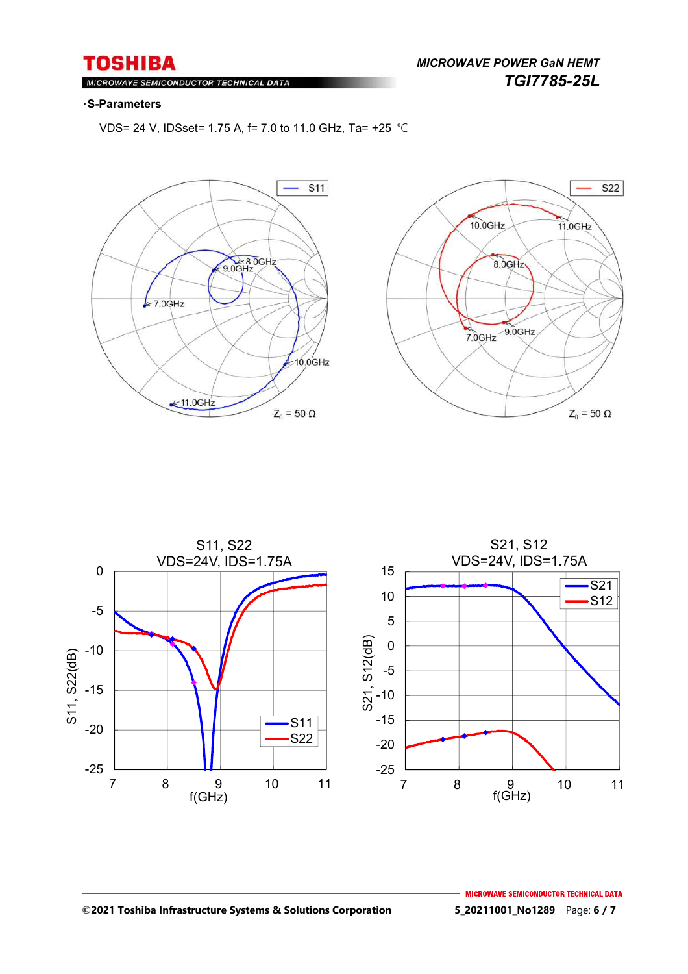#### $M$ ROWAVE SEMICONDUCTOR TECHNICAL DATA

#### ・**S-Parameters**

VDS= 24 V, IDSset= 1.75 A, f= 7.0 to 11.0 GHz, Ta= +25 ℃